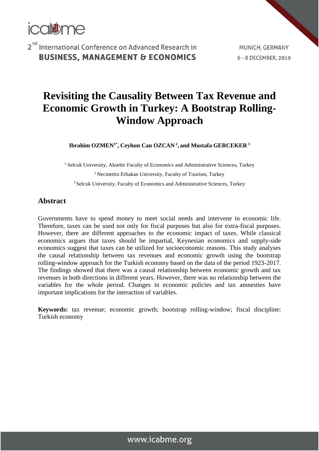

MUNICH, GERMANY 6 - 8 DECEMBER, 2019

# **Revisiting the Causality Between Tax Revenue and Economic Growth in Turkey: A Bootstrap Rolling-Window Approach**

**Ibrahim OZMEN1\* , Ceyhun Can OZCAN <sup>2</sup> , and Mustafa GERCEKER <sup>3</sup>**

<sup>1</sup> Selcuk University, Aksehir Faculty of Economics and Administrative Sciences, Turkey

<sup>2</sup> Necmettin Erbakan University, Faculty of Tourism, Turkey <sup>3</sup> Selcuk University, Faculty of Economics and Administrative Sciences, Turkey

### **Abstract**

Governments have to spend money to meet social needs and intervene in economic life. Therefore, taxes can be used not only for fiscal purposes but also for extra-fiscal purposes. However, there are different approaches to the economic impact of taxes. While classical economics argues that taxes should be impartial, Keynesian economics and supply-side economics suggest that taxes can be utilized for socioeconomic reasons. This study analyses the causal relationship between tax revenues and economic growth using the bootstrap rolling-window approach for the Turkish economy based on the data of the period 1923-2017. The findings showed that there was a causal relationship between economic growth and tax revenues in both directions in different years. However, there was no relationship between the variables for the whole period. Changes in economic policies and tax amnesties have important implications for the interaction of variables.

**Keywords:** tax revenue; economic growth; bootstrap rolling-window; fiscal discipline; Turkish economy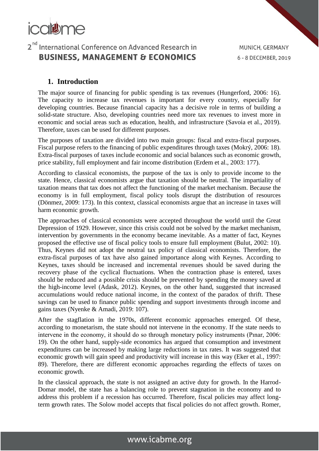

#### **1. Introduction**

The major source of financing for public spending is tax revenues (Hungerford, 2006: 16). The capacity to increase tax revenues is important for every country, especially for developing countries. Because financial capacity has a decisive role in terms of building a solid-state structure. Also, developing countries need more tax revenues to invest more in economic and social areas such as education, health, and infrastructure (Savoia et al., 2019). Therefore, taxes can be used for different purposes.

The purposes of taxation are divided into two main groups: fiscal and extra-fiscal purposes. Fiscal purpose refers to the financing of public expenditures through taxes (Mokrý, 2006: 18). Extra-fiscal purposes of taxes include economic and social balances such as economic growth, price stability, full employment and fair income distribution (Erdem et al., 2003: 177).

According to classical economists, the purpose of the tax is only to provide income to the state. Hence, classical economists argue that taxation should be neutral. The impartiality of taxation means that tax does not affect the functioning of the market mechanism. Because the economy is in full employment, fiscal policy tools disrupt the distribution of resources (Dönmez, 2009: 173). In this context, classical economists argue that an increase in taxes will harm economic growth.

The approaches of classical economists were accepted throughout the world until the Great Depression of 1929. However, since this crisis could not be solved by the market mechanism, intervention by governments in the economy became inevitable. As a matter of fact, Keynes proposed the effective use of fiscal policy tools to ensure full employment (Bulut, 2002: 10). Thus, Keynes did not adopt the neutral tax policy of classical economists. Therefore, the extra-fiscal purposes of tax have also gained importance along with Keynes. According to Keynes, taxes should be increased and incremental revenues should be saved during the recovery phase of the cyclical fluctuations. When the contraction phase is entered, taxes should be reduced and a possible crisis should be prevented by spending the money saved at the high-income level (Adask, 2012). Keynes, on the other hand, suggested that increased accumulations would reduce national income, in the context of the paradox of thrift. These savings can be used to finance public spending and support investments through income and gains taxes (Nyenke & Amadi, 2019: 107).

After the stagflation in the 1970s, different economic approaches emerged. Of these, according to monetarism, the state should not intervene in the economy. If the state needs to intervene in the economy, it should do so through monetary policy instruments (Pınar, 2006: 19). On the other hand, supply-side economics has argued that consumption and investment expenditures can be increased by making large reductions in tax rates. It was suggested that economic growth will gain speed and productivity will increase in this way (Eker et al., 1997: 89). Therefore, there are different economic approaches regarding the effects of taxes on economic growth.

In the classical approach, the state is not assigned an active duty for growth. In the Harrod-Domar model, the state has a balancing role to prevent stagnation in the economy and to address this problem if a recession has occurred. Therefore, fiscal policies may affect longterm growth rates. The Solow model accepts that fiscal policies do not affect growth. Romer,

### www.icabme.org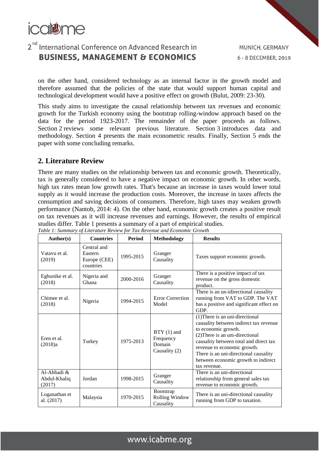

on the other hand, considered technology as an internal factor in the growth model and therefore assumed that the policies of the state that would support human capital and technological development would have a positive effect on growth (Bulut, 2009: 23-30).

This study aims to investigate the causal relationship between tax revenues and economic growth for the Turkish economy using the bootstrap rolling-window approach based on the data for the period 1923-2017. The remainder of the paper proceeds as follows. Section [2](https://www.sciencedirect.com/science/article/pii/S0165176512000638#s000010) reviews some relevant previous literature. Section [3](https://www.sciencedirect.com/science/article/pii/S0165176512000638#s000015) introduces data and methodology. Section 4 presents the main econometric results. Finally, Section 5 ends the paper with some concluding remarks.

### **2. Literature Review**

There are many studies on the relationship between tax and economic growth. Theoretically, tax is generally considered to have a negative impact on economic growth. In other words, high tax rates mean low growth rates. That's because an increase in taxes would lower total supply as it would increase the production costs. Moreover, the increase in taxes affects the consumption and saving decisions of consumers. Therefore, high taxes may weaken growth performance (Nantob, 2014: 4). On the other hand, economic growth creates a positive result on tax revenues as it will increase revenues and earnings. However, the results of empirical studies differ. Table 1 presents a summary of a part of empirical studies.

| Author(s)                             | <b>Countries</b>                                    | <b>Period</b> | <b>Methodology</b>                                   | <b>Results</b>                                                                                                                                                                                                                                                                                               |
|---------------------------------------|-----------------------------------------------------|---------------|------------------------------------------------------|--------------------------------------------------------------------------------------------------------------------------------------------------------------------------------------------------------------------------------------------------------------------------------------------------------------|
| Vatavu et al.<br>(2019)               | Central and<br>Eastern<br>Europe (CEE)<br>countries | 1995-2015     | Granger<br>Causality                                 | Taxes support economic growth.                                                                                                                                                                                                                                                                               |
| Egbunike et al.<br>(2018)             | Nigeria and<br>Ghana                                | 2000-2016     | Granger<br>Causality                                 | There is a positive impact of tax<br>revenue on the gross domestic<br>product.                                                                                                                                                                                                                               |
| Chimee et al.<br>(2018)               | Nigeria                                             | 1994-2015     | <b>Error Correction</b><br>Model                     | There is an un-idirectional causality<br>running from VAT to GDP. The VAT<br>has a positive and significant effect on<br>GDP.                                                                                                                                                                                |
| Eren et al.<br>(2018)a                | Turkey                                              | 1975-2013     | $BTY(1)$ and<br>Frequency<br>Domain<br>Causality (2) | (1) There is an uni-directional<br>causality between indirect tax revenue<br>to economic growth.<br>(2) There is an uni-directional<br>causality between total and direct tax<br>revenue to economic growth.<br>There is an uni-directional causality<br>between economic growth to indirect<br>tax revenue. |
| Al-Abbadi &<br>Abdul-Khaliq<br>(2017) | Jordan                                              | 1998-2015     | Granger<br>Causality                                 | There is an uni-directional<br>relationship from general sales tax<br>revenue to economic growth.                                                                                                                                                                                                            |
| Loganathan et<br>al. (2017)           | Malaysia                                            | 1970-2015     | Bootstrap<br><b>Rolling Window</b><br>Causality      | There is an uni-directional causality<br>running from GDP to taxation.                                                                                                                                                                                                                                       |

*Table 1: Summary of Literature Review for Tax Revenue and Economic Growth*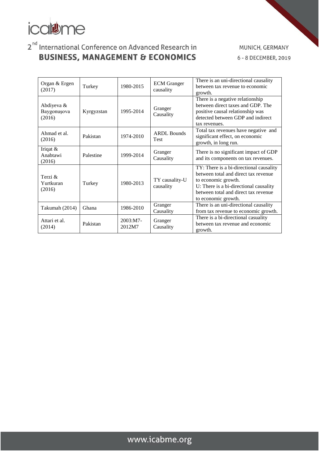

MUNICH, GERMANY 6 - 8 DECEMBER, 2019

| Organ & Ergen<br>(2017)             | Turkey     | 1980-2015            | <b>ECM</b> Granger<br>causality   | There is an uni-directional causality<br>between tax revenue to economic<br>growth.                                                                                                                             |
|-------------------------------------|------------|----------------------|-----------------------------------|-----------------------------------------------------------------------------------------------------------------------------------------------------------------------------------------------------------------|
| Abdiyeva &<br>Baygonuşova<br>(2016) | Kyrgyzstan | 1995-2014            | Granger<br>Causality              | There is a negative relationship<br>between direct taxes and GDP. The<br>positive causal relationship was<br>detected between GDP and indirect<br>tax revenues.                                                 |
| Ahmad et al.<br>(2016)              | Pakistan   | 1974-2010            | <b>ARDL Bounds</b><br><b>Test</b> | Total tax revenues have negative and<br>significant effect, on economic<br>growth, in long run.                                                                                                                 |
| Iriqat $&$<br>Anabtawi<br>(2016)    | Palestine  | 1999-2014            | Granger<br>Causality              | There is no significant impact of GDP<br>and its components on tax revenues.                                                                                                                                    |
| Terzi $\&$<br>Yurtkuran<br>(2016)   | Turkey     | 1980-2013            | TY causality-U<br>causality       | TY: There is a bi-directional causality<br>between total and direct tax revenue<br>to economic growth.<br>U: There is a bi-directional causality<br>between total and direct tax revenue<br>to economic growth. |
| Takumah (2014)                      | Ghana      | 1986-2010            | Granger<br>Causality              | There is an uni-directional causality<br>from tax revenue to economic growth.                                                                                                                                   |
| Attari et al.<br>(2014)             | Pakistan   | $2003:MT-$<br>2012M7 | Granger<br>Causality              | There is a bi-directional casuality<br>between tax revenue and economic<br>growth.                                                                                                                              |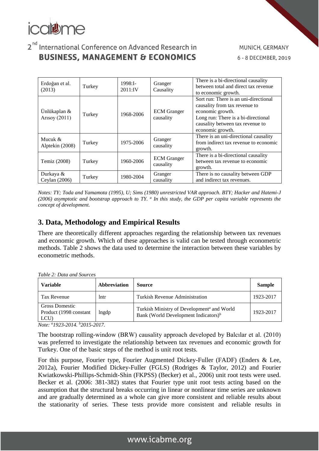

| Erdoğan et al.<br>(2013)      | Turkey | 1998:1<br>2011:IV | Granger<br>Causality            | There is a bi-directional causality<br>between total and direct tax revenue<br>to economic growth.                                                                                        |
|-------------------------------|--------|-------------------|---------------------------------|-------------------------------------------------------------------------------------------------------------------------------------------------------------------------------------------|
| Ünlükaplan &<br>Arisoy (2011) | Turkey | 1968-2006         | <b>ECM</b> Granger<br>causality | Sort run: There is an uni-directional<br>causality from tax revenue to<br>economic growth.<br>Long run: There is a bi-directional<br>causality between tax revenue to<br>economic growth. |
| Mucuk $\&$<br>Alptekin (2008) | Turkey | 1975-2006         | Granger<br>causality            | There is an uni-directional causality<br>from indirect tax revenue to economic<br>growth.                                                                                                 |
| Temiz (2008)                  | Turkey | 1960-2006         | <b>ECM</b> Granger<br>causality | There is a bi-directional causality<br>between tax revenue to economic<br>growth.                                                                                                         |
| Durkaya &<br>Ceylan (2006)    | Turkey | 1980-2004         | Granger<br>causality            | There is no causality between GDP<br>and indirect tax revenues.                                                                                                                           |

*Notes: TY; Toda and Yamamota (1995), U; Sims (1980) unrestricted VAR approach. BTY; Hacker and Hatemi-J (2006) asymptotic and bootstrap approach to TY. <sup>a</sup> In this study, the GDP per capita variable represents the concept of development.*

### **3. Data, Methodology and Empirical Results**

There are theoretically different approaches regarding the relationship between tax revenues and economic growth. Which of these approaches is valid can be tested through econometric methods. Table 2 shows the data used to determine the interaction between these variables by econometric methods.

*Table 2: Data and Sources*

| <b>Variable</b>                                   | <b>Abbreviation</b> | <b>Source</b>                                                                                              | <b>Sample</b> |
|---------------------------------------------------|---------------------|------------------------------------------------------------------------------------------------------------|---------------|
| Tax Revenue                                       | lntr                | <b>Turkish Revenue Administration</b>                                                                      | 1923-2017     |
| Gross Domestic<br>Product (1998 constant)<br>LCU) | lngdp               | Turkish Ministry of Development <sup>a</sup> and World<br>Bank (World Development Indicators) <sup>b</sup> | 1923-2017     |

*Note: <sup>a</sup>1923-2014. <sup>b</sup>2015-2017.* 

The bootstrap rolling-window (BRW) causality approach developed by Balcılar et al. (2010) was preferred to investigate the relationship between tax revenues and economic growth for Turkey. One of the basic steps of the method is unit root tests.

For this purpose, Fourier type, Fourier Augmented Dickey-Fuller (FADF) (Enders & Lee, 2012a), Fourier Modified Dickey-Fuller (FGLS) (Rodriges & Taylor, 2012) and Fourier Kwiatkowski-Phillips-Schmidt-Shin (FKPSS) (Becker) et al., 2006) unit root tests were used. Becker et al. (2006: 381-382) states that Fourier type unit root tests acting based on the assumption that the structural breaks occurring in linear or nonlinear time series are unknown and are gradually determined as a whole can give more consistent and reliable results about the stationarity of series. These tests provide more consistent and reliable results in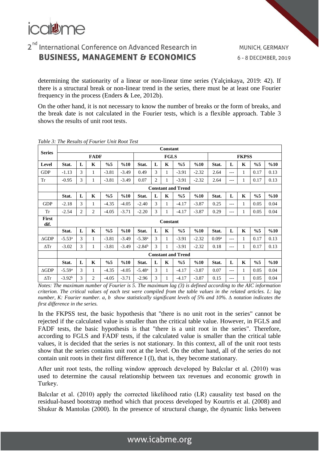

determining the stationarity of a linear or non-linear time series (Yalçinkaya, 2019: 42). If there is a structural break or non-linear trend in the series, there must be at least one Fourier frequency in the process (Enders & Lee, 2012b).

On the other hand, it is not necessary to know the number of breaks or the form of breaks, and the break date is not calculated in the Fourier tests, which is a flexible approach. Table 3 shows the results of unit root tests.

|                 |                           |   |                |         |         |                      |                | <b>Constant</b> |                           |         |                   |       |              |       |      |
|-----------------|---------------------------|---|----------------|---------|---------|----------------------|----------------|-----------------|---------------------------|---------|-------------------|-------|--------------|-------|------|
| <b>Series</b>   |                           |   | <b>FADF</b>    |         |         |                      |                | <b>FGLS</b>     |                           |         |                   |       | <b>FKPSS</b> |       |      |
| Level           | Stat.                     | L | K              | %5      | %10     | Stat.                | L              | K               | %5                        | %10     | Stat.             | L     | K            | %5    | %10  |
| <b>GDP</b>      | $-1.13$                   | 3 | 1              | $-3.81$ | $-3.49$ | 0.49                 | 3              | 1               | $-3.91$                   | $-2.32$ | 2.64              | $---$ | 1            | 0.17  | 0.13 |
| Tr              | $-0.95$                   | 3 | 1              | $-3.81$ | $-3.49$ | 0.07                 | $\overline{c}$ | 1               | $-3.91$                   | $-2.32$ | 2.64              | ---   | 1            | 0.17  | 0.13 |
|                 |                           |   |                |         |         |                      |                |                 | <b>Constant and Trend</b> |         |                   |       |              |       |      |
|                 | Stat.                     | L | $\mathbf K$    | %5      | %10     | Stat.                | L              | $\mathbf K$     | $\%5$                     | %10     | Stat.             | L     | $\mathbf K$  | %5    | %10  |
| <b>GDP</b>      | $-2.18$                   | 3 | 1              | $-4.35$ | $-4.05$ | $-2.40$              | 3              | 1               | $-4.17$                   | $-3.87$ | 0.25              | $---$ | $\mathbf{1}$ | 0.05  | 0.04 |
| Tr              | $-2.54$                   | 2 | 2              | $-4.05$ | $-3.71$ | $-2.20$              | 3              | 1               | $-4.17$                   | $-3.87$ | 0.29              | $---$ | 1            | 0.05  | 0.04 |
| First<br>dif.   |                           |   |                |         |         |                      |                | Constant        |                           |         |                   |       |              |       |      |
|                 | Stat.                     | L | K              | %5      | %10     | Stat.                | L              | $\mathbf K$     | %5                        | %10     | Stat.             | L     | $\mathbf{K}$ | $\%5$ | %10  |
| $\Delta GDP$    | $-5.53^{\rm a}$           | 3 | 1              | $-3.81$ | $-3.49$ | $-5.38a$             | 3              | 1               | $-3.91$                   | $-2.32$ | 0.09 <sup>a</sup> | $---$ | 1            | 0.17  | 0.13 |
| $\Delta$ Tr     | $-3.02$                   | 3 | 1              | $-3.81$ | $-3.49$ | $-2.84b$             | 3              | 1               | $-3.91$                   | $-2.32$ | 0.18              | ---   | 1            | 0.17  | 0.13 |
|                 | <b>Constant and Trend</b> |   |                |         |         |                      |                |                 |                           |         |                   |       |              |       |      |
|                 | Stat.                     | L | K              | %5      | %10     | Stat.                | L              | K               | %5                        | %10     | Stat.             | L     | K            | $\%5$ | %10  |
| $\triangle$ GDP | $-5.59a$                  | 3 | 1              | $-4.35$ | $-4.05$ | $-5.48$ <sup>a</sup> | 3              | 1               | $-4.17$                   | $-3.87$ | 0.07              | $---$ | 1            | 0.05  | 0.04 |
| $\Delta$ Tr     | $-3.92b$                  | 3 | $\overline{c}$ | $-4.05$ | $-3.71$ | $-2.96$              | 3              |                 | $-4.17$                   | $-3.87$ | 0.15              | ---   | 1            | 0.05  | 0.04 |

*Table 3: The Results of Fourier Unit Root Test*

*Notes: The maximum number of Fourier is 5. The maximum lag (3) is defined according to the AIC information criterion. The critical values of each test were compiled from the table values in the related articles. L: lag number, K: Fourier number. a, b show statistically significant levels of 5% and 10%. ∆ notation indicates the first difference in the series.*

In the FKPSS test, the basic hypothesis that "there is no unit root in the series" cannot be rejected if the calculated value is smaller than the critical table value. However, in FGLS and FADF tests, the basic hypothesis is that "there is a unit root in the series". Therefore, according to FGLS and FADF tests, if the calculated value is smaller than the critical table values, it is decided that the series is not stationary. In this context, all of the unit root tests show that the series contains unit root at the level. On the other hand, all of the series do not contain unit roots in their first difference I (I), that is, they become stationary.

After unit root tests, the rolling window approach developed by Balcılar et al. (2010) was used to determine the causal relationship between tax revenues and economic growth in Turkey.

Balcılar et al. (2010) apply the corrected likelihood ratio (LR) causality test based on the residual-based bootstrap method which that process developed by Kourtris et al. (2008) and Shukur & Mantolas (2000). In the presence of structural change, the dynamic links between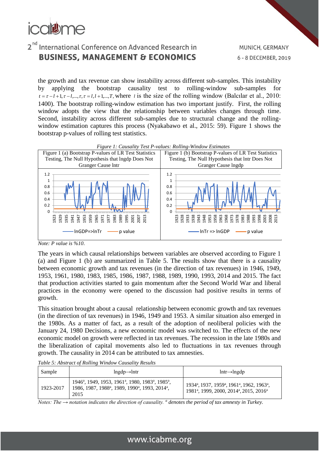

the growth and tax revenue can show instability across different sub-samples. This instability by applying the bootstrap causality test to rolling-window sub-samples for  $t = \tau - l + 1, \tau - l, \ldots, \tau, \tau = l, l + 1, \ldots, T$ , where *l* is the size of the rolling window (Balcılar et al., 2010: 1400). The bootstrap rolling-window estimation has two important justify. First, the rolling window adopts the view that the relationship between variables changes through time. Second, instability across different sub-samples due to structural change and the rollingwindow estimation captures this process (Nyakabawo et al., 2015: 59). Figure 1 shows the bootstrap p-values of rolling test statistics.





The years in which causal relationships between variables are observed according to Figure 1 (a) and Figure 1 (b) are summarized in Table 5. The results show that there is a causality between economic growth and tax revenues (in the direction of tax revenues) in 1946, 1949, 1953, 1961, 1980, 1983, 1985, 1986, 1987, 1988, 1989, 1990, 1993, 2014 and 2015. The fact that production activities started to gain momentum after the Second World War and liberal practices in the economy were opened to the discussion had positive results in terms of growth.

This situation brought about a causal relationship between economic growth and tax revenues (in the direction of tax revenues) in 1946, 1949 and 1953. A similar situation also emerged in the 1980s. As a matter of fact, as a result of the adoption of neoliberal policies with the January 24, 1980 Decisions, a new economic model was switched to. The effects of the new economic model on growth were reflected in tax revenues. The recession in the late 1980s and the liberalization of capital movements also led to fluctuations in tax revenues through growth. The causality in 2014 can be attributed to tax amnesties.

*Table 5: Abstract of Rolling Window Causality Results* 

| Sample    | $ln\{gdp \rightarrow lntr$                                                                                                                                                                       | $lntr \rightarrow lngdp$                                                                                                                                                   |
|-----------|--------------------------------------------------------------------------------------------------------------------------------------------------------------------------------------------------|----------------------------------------------------------------------------------------------------------------------------------------------------------------------------|
| 1923-2017 | 1946 <sup>a</sup> , 1949, 1953, 1961 <sup>a</sup> , 1980, 1983 <sup>a</sup> , 1985 <sup>a</sup> ,<br>1986, 1987, 1988 <sup>a</sup> , 1989, 1990 <sup>a</sup> , 1993, 2014 <sup>a</sup> ,<br>2015 | 1934 <sup>a</sup> , 1937, 1959 <sup>a</sup> , 1961 <sup>a</sup> , 1962, 1963 <sup>a</sup> ,<br>1981 <sup>a</sup> , 1999, 2000, 2014 <sup>a</sup> , 2015, 2016 <sup>a</sup> |

*Notes: The*  $\rightarrow$  *notation indicates the direction of causality. <sup><i>a*</sup> denotes the period of tax amnesty in Turkey.

*Note: P value is %10*.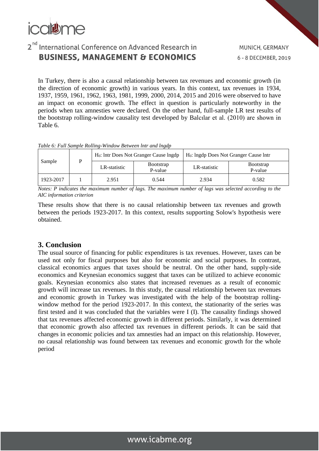

In Turkey, there is also a causal relationship between tax revenues and economic growth (in the direction of economic growth) in various years. In this context, tax revenues in 1934, 1937, 1959, 1961, 1962, 1963, 1981, 1999, 2000, 2014, 2015 and 2016 were observed to have an impact on economic growth. The effect in question is particularly noteworthy in the periods when tax amnesties were declared. On the other hand, full-sample LR test results of the bootstrap rolling-window causality test developed by Balcılar et al. (2010) are shown in Table 6.

*Table 6: Full Sample Rolling-Window Between lntr and lngdp*

| Sample    |  |              | $H_0$ : Intr Does Not Granger Cause Ingdp | $H_0$ : Ingdp Does Not Granger Cause Intr |              |                              |
|-----------|--|--------------|-------------------------------------------|-------------------------------------------|--------------|------------------------------|
|           |  | LR-statistic |                                           | <b>Bootstrap</b><br>P-value               | LR-statistic | <b>B</b> ootstrap<br>P-value |
| 1923-2017 |  | 2.951        | 0.544                                     | 2.934                                     | 0.582        |                              |

*Notes: P indicates the maximum number of lags. The maximum number of lags was selected according to the AIC information criterion*

These results show that there is no causal relationship between tax revenues and growth between the periods 1923-2017. In this context, results supporting Solow's hypothesis were obtained.

#### **3. Conclusion**

The usual source of financing for public expenditures is tax revenues. However, taxes can be used not only for fiscal purposes but also for economic and social purposes. In contrast, classical economics argues that taxes should be neutral. On the other hand, supply-side economics and Keynesian economics suggest that taxes can be utilized to achieve economic goals. Keynesian economics also states that increased revenues as a result of economic growth will increase tax revenues. In this study, the causal relationship between tax revenues and economic growth in Turkey was investigated with the help of the bootstrap rollingwindow method for the period 1923-2017. In this context, the stationarity of the series was first tested and it was concluded that the variables were I (I). The causality findings showed that tax revenues affected economic growth in different periods. Similarly, it was determined that economic growth also affected tax revenues in different periods. It can be said that changes in economic policies and tax amnesties had an impact on this relationship. However, no causal relationship was found between tax revenues and economic growth for the whole period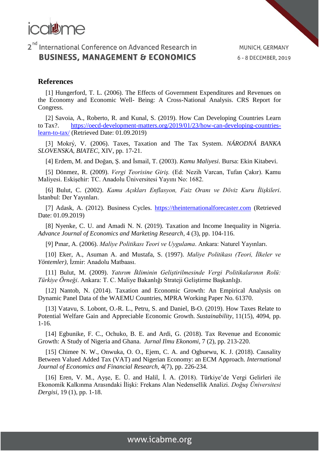

#### **References**

[1] Hungerford, T. L. (2006). The Effects of Government Expenditures and Revenues on the Economy and Economic Well- Being: A Cross-National Analysis. CRS Report for Congress.

[2] Savoia, A., Roberto, R. and Kunal, S. (2019). How Can Developing Countries Learn to Tax?. [https://oecd-development-matters.org/2019/01/23/how-can-developing-countries](https://oecd-development-matters.org/2019/01/23/how-can-developing-countries-learn-to-tax/)[learn-to-tax/](https://oecd-development-matters.org/2019/01/23/how-can-developing-countries-learn-to-tax/) (Retrieved Date: 01.09.2019)

[3] Mokrý , V. (2006). Taxes, Taxation and The Tax System. *NÁRODNÁ BANKA SLOVENSKA, BIATEC*, XIV, pp. 17-21.

[4] Erdem, M. and Doğan, Ş. and İsmail, T. (2003). *Kamu Maliyesi*. Bursa: Ekin Kitabevi.

[5] Dönmez, R. (2009). *Vergi Teorisine Giriş.* (Ed: Nezih Varcan, Tufan Çakır). Kamu Maliyesi. Eskişehir: TC. Anadolu Üniversitesi Yayını No: 1682.

[6] Bulut, C. (2002). *Kamu Açıkları Enflasyon, Faiz Oranı ve Döviz Kuru İlişkileri*. İstanbul: Der Yayınları.

[7] Adask, A. (2012). Business Cycles. [https://theinternationalforecaster.com](https://theinternationalforecaster.com/) (Retrieved Date: 01.09.2019)

[8] Nyenke, C. U. and Amadi N. N. (2019). Taxation and Income Inequality in Nigeria. *Advance Journal of Economics and Marketing Research*, 4 (3), pp. 104-116.

[9] Pınar, A. (2006). *Maliye Politikası Teori ve Uygulama*. Ankara: Naturel Yayınları.

[10] Eker, A., Asuman A. and Mustafa, S. (1997). *Maliye Politikası (Teori, İlkeler ve Yöntemler)*, İzmir: Anadolu Matbaası.

[11] Bulut, M. (2009). *Yatırım İkliminin Geliştirilmesinde Vergi Politikalarının Rolü: Türkiye Örneği*. Ankara: T. C. Maliye Bakanlığı Strateji Geliştirme Başkanlığı.

[12] Nantob, N. (2014). Taxation and Economic Growth: An Empirical Analysis on Dynamic Panel Data of the WAEMU Countries, MPRA Working Paper No. 61370.

[13] Vatavu, S. Lobont, O.-R. L., Petru, S. and Daniel, B-O. (2019). How Taxes Relate to Potential Welfare Gain and Appreciable Economic Growth. *Sustainability*, 11(15), 4094, pp. 1-16.

[14] Egbunike, F. C., Ochuko, B. E. and Ardi, G. (2018). Tax Revenue and Economic Growth: A Study of Nigeria and Ghana. *Jurnal Ilmu Ekonomi*, 7 (2), pp. 213-220.

[15] Chimee N. W., Onwuka, O. O., Ejem, C. A. and Ogbuewu, K. J. (2018). Causality Between Valued Added Tax (VAT) and Nigerian Economy: an ECM Approach. *International Journal of Economics and Financial Research*, 4(7), pp. 226-234.

[16] Eren, V. M., Ayşe, E. Ü. and Halil, İ. A. (2018). Türkiye'de Vergi Gelirleri ile Ekonomik Kalkınma Arasındaki İlişki: Frekans Alan Nedensellik Analizi. *Doğuş Üniversitesi Dergisi*, 19 (1), pp. 1-18.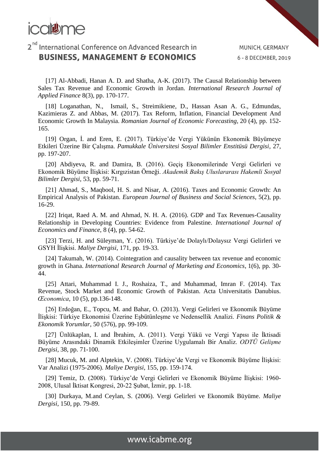

[17] Al-Abbadi, Hanan A. D. and Shatha, A-K. (2017). The Causal Relationship between Sales Tax Revenue and Economic Growth in Jordan. *International Research Journal of Applied Finance* 8(3), pp. 170-177.

[18] Loganathan, N., Ismail, S., Streimikiene, D., Hassan Asan A. G., Edmundas, Kazimieras Z. and Abbas, M. (2017). Tax Reform, Inflation, Financial Development And Economic Growth In Malaysia. *Romanian Journal of Economic Forecasting*, 20 (4), pp. 152- 165.

[19] Organ, İ. and Eren, E. (2017). Türkiye'de Vergi Yükünün Ekonomik Büyümeye Etkileri Üzerine Bir Çalışma. *Pamukkale Üniversitesi Sosyal Bilimler Enstitüsü Dergisi*, 27, pp. 197-207.

[20] Abdiyeva, R. and Damira, B. (2016). Geçiş Ekonomilerinde Vergi Gelirleri ve Ekonomik Büyüme İlişkisi: Kırgızistan Örneği. *Akademik Bakış Uluslararası Hakemli Sosyal Bilimler Dergisi*, 53, pp. 59-71.

[21] Ahmad, S., Maqbool, H. S. and Nisar, A. (2016). Taxes and Economic Growth: An Empirical Analysis of Pakistan. *European Journal of Business and Social Sciences*, 5(2), pp. 16-29.

[22] Iriqat, Raed A. M. and Ahmad, N. H. A. (2016). GDP and Tax Revenues-Causality Relationship in Developing Countries: Evidence from Palestine. *International Journal of Economics and Finance*, 8 (4), pp. 54-62.

[23] Terzi, H. and Süleyman, Y. (2016). Türkiye'de Dolaylı/Dolaysız Vergi Gelirleri ve GSYH İlişkisi. *Maliye Dergisi*, 171, pp. 19-33.

[24] Takumah, W. (2014). Cointegration and causality between tax revenue and economic growth in Ghana. *International Research Journal of Marketing and Economics*, 1(6), pp. 30- 44.

[25] Attari, Muhammad I. J., Roshaiza, T., and Muhammad, Imran F. (2014). Tax Revenue, Stock Market and Economic Growth of Pakistan. Acta Universitatis Danubius. *Œconomica*, 10 (5), pp.136-148.

[26] Erdoğan, E., Topcu, M. and Bahar, O. (2013). Vergi Gelirleri ve Ekonomik Büyüme İlişkisi: Türkiye Ekonomisi Üzerine Eşbütünleşme ve Nedensellik Analizi. *Finans Politik & Ekonomik Yorumlar*, 50 (576), pp. 99-109.

[27] Ünlükaplan, I. and İbrahim, A. (2011). Vergi Yükü ve Vergi Yapısı ile İktisadi Büyüme Arasındaki Dinamik Etkileşimler Üzerine Uygulamalı Bir Analiz. *ODTÜ Gelişme Dergisi*, 38, pp. 71-100.

[28] Mucuk, M. and Alptekin, V. (2008). Türkiye'de Vergi ve Ekonomik Büyüme İlişkisi: Var Analizi (1975-2006). *Maliye Dergisi*, 155, pp. 159-174.

[29] Temiz, D. (2008). Türkiye'de Vergi Gelirleri ve Ekonomik Büyüme İlişkisi: 1960- 2008, Ulusal İktisat Kongresi, 20-22 Şubat, İzmir, pp. 1-18.

[30] Durkaya, M.and Ceylan, S. (2006). Vergi Gelirleri ve Ekonomik Büyüme. *Maliye Dergisi*, 150, pp. 79-89.